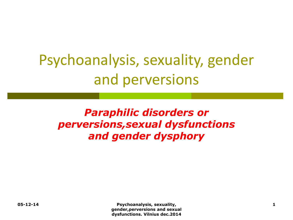# Psychoanalysis, sexuality, gender and perversions

### *Paraphilic disorders or perversions,sexual dysfunctions and gender dysphory*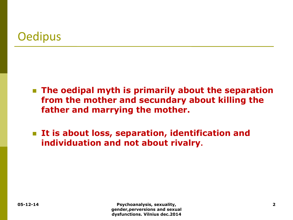# **Oedipus**

- **The oedipal myth is primarily about the separation from the mother and secundary about killing the father and marrying the mother.**
- **It is about loss, separation, identification and individuation and not about rivalry.**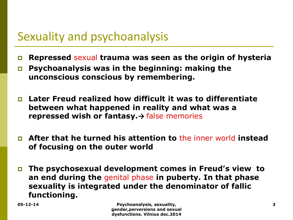# Sexuality and psychoanalysis

- **Repressed** sexual **trauma was seen as the origin of hysteria**
- **Psychoanalysis was in the beginning: making the unconscious conscious by remembering.**
- **Later Freud realized how difficult it was to differentiate between what happened in reality and what was a repressed wish or fantasy.→** false memories
- **After that he turned his attention to** the inner world **instead of focusing on the outer world**
- **The psychosexual development comes in Freud's view to an end during the** genital phase **in puberty. In that phase sexuality is integrated under the denominator of fallic functioning.**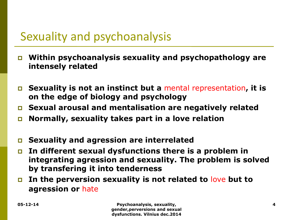# Sexuality and psychoanalysis

- **Within psychoanalysis sexuality and psychopathology are intensely related**
- **Sexuality is not an instinct but a** mental representation**, it is on the edge of biology and psychology**
- **Sexual arousal and mentalisation are negatively related**
- **Normally, sexuality takes part in a love relation**
- **Sexuality and agression are interrelated**
- **In different sexual dysfunctions there is a problem in integrating agression and sexuality. The problem is solved by transfering it into tenderness**
- **In the perversion sexuality is not related to** love **but to agression or** hate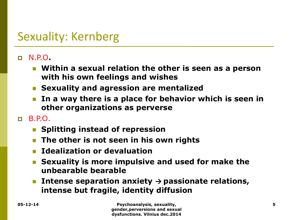# Sexuality: Kernberg

#### N.P.O**.**

- **Within a sexual relation the other is seen as a person with his own feelings and wishes**
- **Sexuality and agression are mentalized**
- **In a way there is a place for behavior which is seen in other organizations as perverse**

#### $R. P.$

- **Splitting instead of repression**
- **The other is not seen in his own rights**
- **Idealization or devaluation**
- **Sexuality is more impulsive and used for make the unbearable bearable**
- Intense separation anxiety  $\rightarrow$  passionate relations, **intense but fragile, identity diffusion**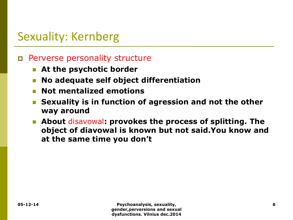# Sexuality: Kernberg

#### Perverse personality structure

- **At the psychotic border**
- **No adequate self object differentiation**
- **Not mentalized emotions**
- **Sexuality is in function of agression and not the other way around**
- **About** disavowal**: provokes the process of splitting. The object of diavowal is known but not said.You know and at the same time you don't**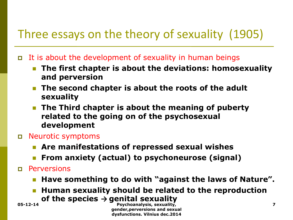- It is about the development of sexuality in human beings
	- **The first chapter is about the deviations: homosexuality and perversion**
	- **The second chapter is about the roots of the adult sexuality**
	- **The Third chapter is about the meaning of puberty related to the going on of the psychosexual development**
- Neurotic symptoms
	- **Are manifestations of repressed sexual wishes**
	- **From anxiety (actual) to psychoneurose (signal)**
- Perversions
	- Have something to do with "against the laws of Nature".
	- **Human sexuality should be related to the reproduction of the species → genital sexuality**

**05-12-14 Psychoanalysis, sexuality, 7 gender,perversions and sexual dysfunctions. Vilnius dec.2014**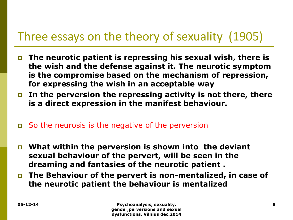- **The neurotic patient is repressing his sexual wish, there is the wish and the defense against it. The neurotic symptom is the compromise based on the mechanism of repression, for expressing the wish in an acceptable way**
- **In the perversion the repressing activity is not there, there is a direct expression in the manifest behaviour.**
- So the neurosis is the negative of the perversion
- **What within the perversion is shown into the deviant sexual behaviour of the pervert, will be seen in the dreaming and fantasies of the neurotic patient .**
- **The Behaviour of the pervert is non-mentalized, in case of the neurotic patient the behaviour is mentalized**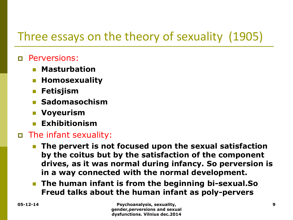#### Perversions:

- **Masturbation**
- **Homosexuality**
- **Fetisjism**
- **Sadomasochism**
- **Voyeurism**
- **Exhibitionism**

### The infant sexuality:

- **The pervert is not focused upon the sexual satisfaction by the coitus but by the satisfaction of the component drives, as it was normal during infancy. So perversion is in a way connected with the normal development.**
- **The human infant is from the beginning bi-sexual.So Freud talks about the human infant as poly-pervers**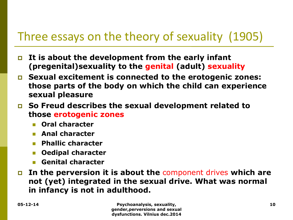- **It is about the development from the early infant (pregenital)sexuality to the genital (adult) sexuality**
- **Sexual excitement is connected to the erotogenic zones: those parts of the body on which the child can experience sexual pleasure**
- **So Freud describes the sexual development related to those erotogenic zones**
	- **Oral character**
	- **Anal character**
	- **Phallic character**
	- **Oedipal character**
	- **Genital character**
- **In the perversion it is about the** component drives **which are not (yet) integrated in the sexual drive. What was normal in infancy is not in adulthood.**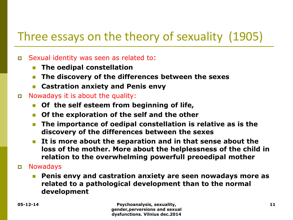#### Sexual identity was seen as related to:

- **The oedipal constellation**
- **The discovery of the differences between the sexes**
- **Castration anxiety and Penis envy**

#### Nowadays it is about the quality:

- **Of the self esteem from beginning of life,**
- **Of the exploration of the self and the other**
- **The importance of oedipal constellation is relative as is the discovery of the differences between the sexes**
- **It is more about the separation and in that sense about the loss of the mother. More about the helplessness of the child in relation to the overwhelming powerfull preoedipal mother**
- Nowadays
	- **Penis envy and castration anxiety are seen nowadays more as related to a pathological development than to the normal development**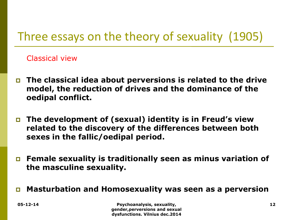Classical view

- **The classical idea about perversions is related to the drive model, the reduction of drives and the dominance of the oedipal conflict.**
- **The development of (sexual) identity is in Freud's view related to the discovery of the differences between both sexes in the fallic/oedipal period.**
- **Female sexuality is traditionally seen as minus variation of the masculine sexuality.**
- **Masturbation and Homosexuality was seen as a perversion**

**05-12-14 Psychoanalysis, sexuality, 12 gender,perversions and sexual dysfunctions. Vilnius dec.2014**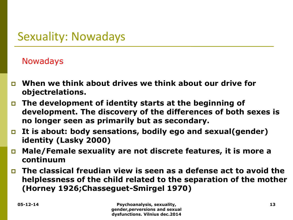#### Nowadays

- **When we think about drives we think about our drive for objectrelations.**
- **The development of identity starts at the beginning of development. The discovery of the differences of both sexes is no longer seen as primarily but as secondary.**
- **It is about: body sensations, bodily ego and sexual(gender) identity (Lasky 2000)**
- **Male/Female sexuality are not discrete features, it is more a continuum**
- **The classical freudian view is seen as a defense act to avoid the helplessness of the child related to the separation of the mother (Horney 1926;Chasseguet-Smirgel 1970)**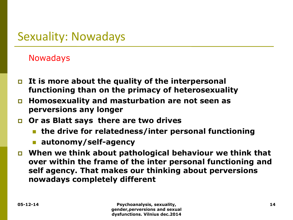#### Nowadays

- **It is more about the quality of the interpersonal functioning than on the primacy of heterosexuality**
- **Homosexuality and masturbation are not seen as perversions any longer**
- **Or as Blatt says there are two drives** 
	- **the drive for relatedness/inter personal functioning**
	- **autonomy/self-agency**
- **When we think about pathological behaviour we think that over within the frame of the inter personal functioning and self agency. That makes our thinking about perversions nowadays completely different**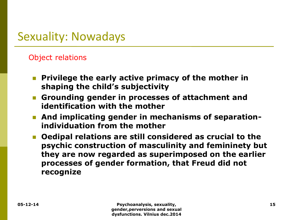#### Object relations

- **Privilege the early active primacy of the mother in shaping the child's subjectivity**
- **Grounding gender in processes of attachment and identification with the mother**
- **And implicating gender in mechanisms of separationindividuation from the mother**
- **Oedipal relations are still considered as crucial to the psychic construction of masculinity and femininety but they are now regarded as superimposed on the earlier processes of gender formation, that Freud did not recognize**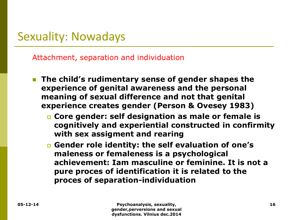Attachment, separation and individuation

- **The child's rudimentary sense of gender shapes the experience of genital awareness and the personal meaning of sexual difference and not that genital experience creates gender (Person & Ovesey 1983)**
	- **Core gender: self designation as male or female is cognitively and experiential constructed in confirmity with sex assigment and rearing**
	- **Gender role identity: the self evaluation of one's maleness or femaleness is a psychological achievement: Iam masculine or feminine. It is not a pure proces of identification it is related to the proces of separation-individuation**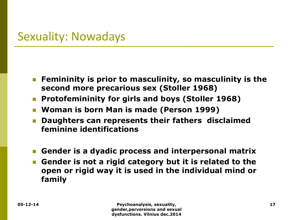- **Femininity is prior to masculinity, so masculinity is the second more precarious sex (Stoller 1968)**
- **Protofemininity for girls and boys (Stoller 1968)**
- **Woman is born Man is made (Person 1999)**
- **Daughters can represents their fathers disclaimed feminine identifications**
- **Gender is a dyadic process and interpersonal matrix**
- **Gender is not a rigid category but it is related to the open or rigid way it is used in the individual mind or family**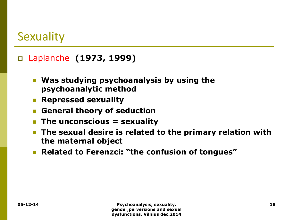### Laplanche **(1973, 1999)**

- **Was studying psychoanalysis by using the psychoanalytic method**
- **Repressed sexuality**
- **E** General theory of seduction
- **The unconscious = sexuality**
- **The sexual desire is related to the primary relation with the maternal object**
- **Related to Ferenzci: "the confusion of tongues"**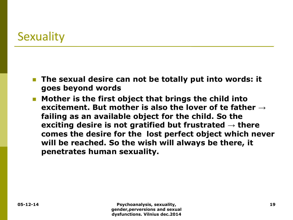- **The sexual desire can not be totally put into words: it goes beyond words**
- **Mother is the first object that brings the child into excitement. But mother is also the lover of te father → failing as an available object for the child. So the exciting desire is not gratified but frustrated → there comes the desire for the lost perfect object which never will be reached. So the wish will always be there, it penetrates human sexuality.**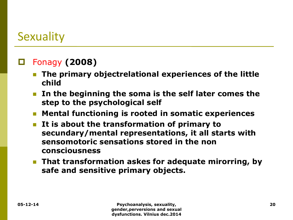### Fonagy **(2008)**

- **The primary objectrelational experiences of the little child**
- **In the beginning the soma is the self later comes the step to the psychological self**
- **Mental functioning is rooted in somatic experiences**
- **It is about the transformation of primary to secundary/mental representations, it all starts with sensomotoric sensations stored in the non consciousness**
- **That transformation askes for adequate mirorring, by safe and sensitive primary objects.**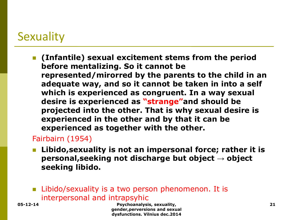**(Infantile) sexual excitement stems from the period before mentalizing. So it cannot be represented/mirorred by the parents to the child in an adequate way, and so it cannot be taken in into a self which is experienced as congruent. In a way sexual desire is experienced as "strange"and should be projected into the other. That is why sexual desire is experienced in the other and by that it can be experienced as together with the other.**

#### Fairbairn (1954)

- **Libido,sexuality is not an impersonal force; rather it is personal,seeking not discharge but object → object seeking libido.**
- **Libido/sexuality is a two person phenomenon. It is** interpersonal and intrapsyhic

**05-12-14 Psychoanalysis, sexuality, 21 gender,perversions and sexual dysfunctions. Vilnius dec.2014**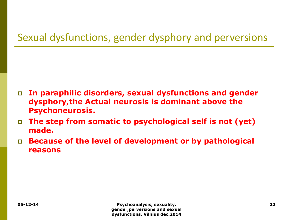### Sexual dysfunctions, gender dysphory and perversions

- **In paraphilic disorders, sexual dysfunctions and gender dysphory,the Actual neurosis is dominant above the Psychoneurosis.**
- **The step from somatic to psychological self is not (yet) made.**
- **Because of the level of development or by pathological reasons**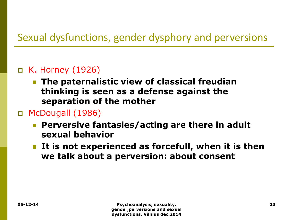### Sexual dysfunctions, gender dysphory and perversions

#### K. Horney (1926)

 **The paternalistic view of classical freudian thinking is seen as a defense against the separation of the mother**

#### McDougall (1986)

- **Perversive fantasies/acting are there in adult sexual behavior**
- **It is not experienced as forcefull, when it is then we talk about a perversion: about consent**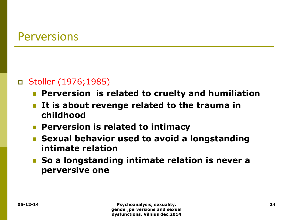### Perversions

#### Stoller (1976;1985)

- **Perversion is related to cruelty and humiliation**
- **It is about revenge related to the trauma in childhood**
- **Perversion is related to intimacy**
- **Example 1 Sexual behavior used to avoid a longstanding intimate relation**
- **So a longstanding intimate relation is never a perversive one**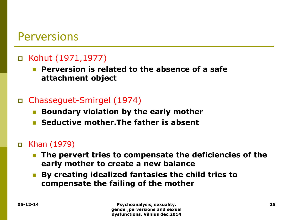### Perversions

### Kohut (1971,1977)

 **Perversion is related to the absence of a safe attachment object**

#### Chasseguet-Smirgel (1974)

- **Boundary violation by the early mother**
- **Seductive mother.The father is absent**

#### Khan (1979)

- **The pervert tries to compensate the deficiencies of the early mother to create a new balance**
- **By creating idealized fantasies the child tries to compensate the failing of the mother**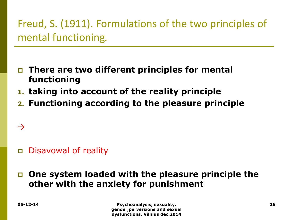# Freud, S. (1911). Formulations of the two principles of mental functioning*.*

- **There are two different principles for mental functioning**
- **1. taking into account of the reality principle**
- **2. Functioning according to the pleasure principle**

### Disavowal of reality

### **One system loaded with the pleasure principle the other with the anxiety for punishment**

 $\rightarrow$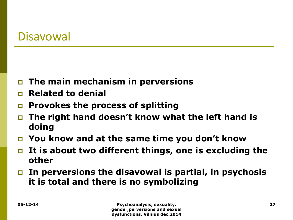### Disavowal

- **The main mechanism in perversions**
- **Related to denial**
- **Provokes the process of splitting**
- **The right hand doesn't know what the left hand is doing**
- **You know and at the same time you don't know**
- **It is about two different things, one is excluding the other**
- **In perversions the disavowal is partial, in psychosis it is total and there is no symbolizing**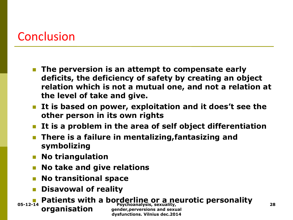# Conclusion

- **The perversion is an attempt to compensate early deficits, the deficiency of safety by creating an object relation which is not a mutual one, and not a relation at the level of take and give.**
- **It is based on power, exploitation and it does't see the other person in its own rights**
- **It is a problem in the area of self object differentiation**
- **There is a failure in mentalizing,fantasizing and symbolizing**
- **No triangulation**
- **No take and give relations**
- **No transitional space**
- **Disavowal of reality**

**Patients with a borderline or a neurotic personality organisation Depending to the Psychoanalysis, sexuality, CONSUMERS 28 DESCRIPTION CONSUMERS Propose 28 Propose 28 gender,perversions and sexual dysfunctions. Vilnius dec.2014**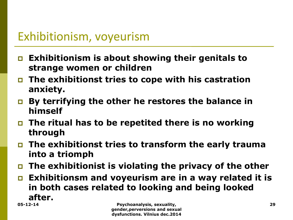# Exhibitionism, voyeurism

- **Exhibitionism is about showing their genitals to strange women or children**
- **The exhibitionst tries to cope with his castration anxiety.**
- **By terrifying the other he restores the balance in himself**
- **The ritual has to be repetited there is no working through**
- **The exhibitionst tries to transform the early trauma into a triomph**
- **The exhibitionist is violating the privacy of the other**
- **Exhibitionsm and voyeurism are in a way related it is in both cases related to looking and being looked after.**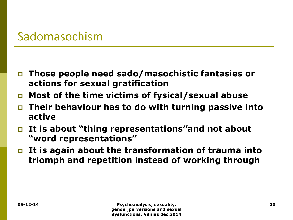### Sadomasochism

- **Those people need sado/masochistic fantasies or actions for sexual gratification**
- **Most of the time victims of fysical/sexual abuse**
- **Their behaviour has to do with turning passive into active**
- **It is about "thing representations"and not about "word representations"**
- **It is again about the transformation of trauma into triomph and repetition instead of working through**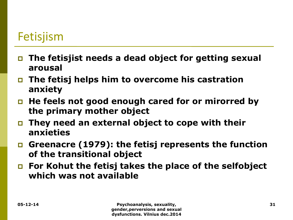# Fetisjism

- **The fetisjist needs a dead object for getting sexual arousal**
- **The fetisj helps him to overcome his castration anxiety**
- **He feels not good enough cared for or mirorred by the primary mother object**
- **They need an external object to cope with their anxieties**
- **Greenacre (1979): the fetisj represents the function of the transitional object**
- **For Kohut the fetisj takes the place of the selfobject which was not available**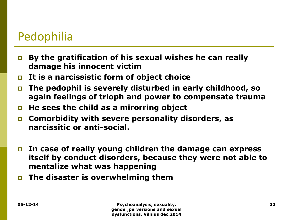# Pedophilia

- **By the gratification of his sexual wishes he can really damage his innocent victim**
- **It is a narcissistic form of object choice**
- **The pedophil is severely disturbed in early childhood, so again feelings of trioph and power to compensate trauma**
- **He sees the child as a mirorring object**
- **Comorbidity with severe personality disorders, as narcissitic or anti-social.**
- **In case of really young children the damage can express itself by conduct disorders, because they were not able to mentalize what was happening**
- **The disaster is overwhelming them**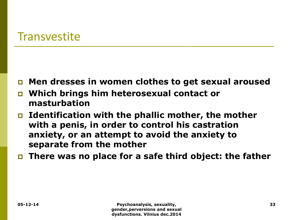### **Transvestite**

- **Men dresses in women clothes to get sexual aroused**
- **Which brings him heterosexual contact or masturbation**
- **Identification with the phallic mother, the mother with a penis, in order to control his castration anxiety, or an attempt to avoid the anxiety to separate from the mother**
- **There was no place for a safe third object: the father**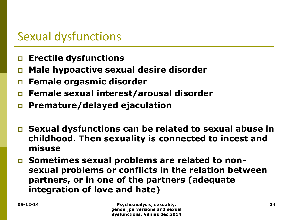# Sexual dysfunctions

- **Erectile dysfunctions**
- **Male hypoactive sexual desire disorder**
- **Female orgasmic disorder**
- **Female sexual interest/arousal disorder**
- **Premature/delayed ejaculation**
- **Sexual dysfunctions can be related to sexual abuse in childhood. Then sexuality is connected to incest and misuse**
- **Sometimes sexual problems are related to nonsexual problems or conflicts in the relation between partners, or in one of the partners (adequate integration of love and hate)**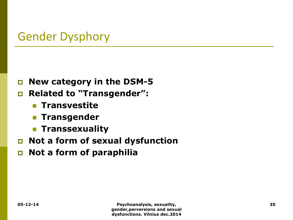# Gender Dysphory

- **New category in the DSM-5**
- **Related to "Transgender":**
	- **Transvestite**
	- **Transgender**
	- **Transsexuality**
- **Not a form of sexual dysfunction**
- **Not a form of paraphilia**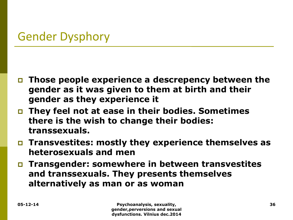# Gender Dysphory

- **Those people experience a descrepency between the gender as it was given to them at birth and their gender as they experience it**
- **They feel not at ease in their bodies. Sometimes there is the wish to change their bodies: transsexuals.**
- **Transvestites: mostly they experience themselves as heterosexuals and men**
- **Transgender: somewhere in between transvestites and transsexuals. They presents themselves alternatively as man or as woman**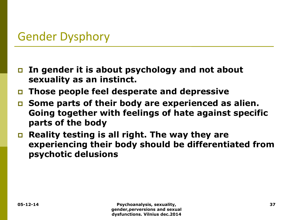# Gender Dysphory

- **In gender it is about psychology and not about sexuality as an instinct.**
- **Those people feel desperate and depressive**
- **Some parts of their body are experienced as alien. Going together with feelings of hate against specific parts of the body**
- **Reality testing is all right. The way they are experiencing their body should be differentiated from psychotic delusions**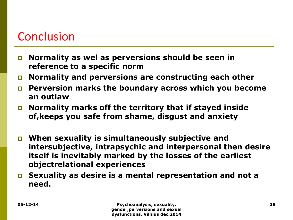# Conclusion

- **Normality as wel as perversions should be seen in reference to a specific norm**
- **Normality and perversions are constructing each other**
- **Perversion marks the boundary across which you become an outlaw**
- **Normality marks off the territory that if stayed inside of,keeps you safe from shame, disgust and anxiety**
- **When sexuality is simultaneously subjective and intersubjective, intrapsychic and interpersonal then desire itself is inevitably marked by the losses of the earliest objectrelational experiences**
- **Sexuality as desire is a mental representation and not a need.**